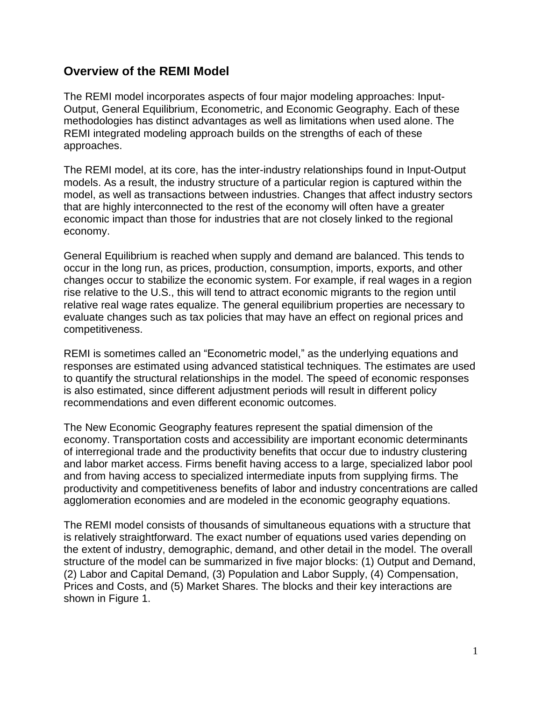# **Overview of the REMI Model**

The REMI model incorporates aspects of four major modeling approaches: Input-[Output,](http://www.remi.com/the-remi-model) General Equilibrium, Econometric, and Economic Geography. Each of these methodologies has distinct advantages as well as limitations when used alone. The REMI integrated modeling approach builds on the strengths of each of these approaches.

The REMI model, at its core, has the inter-industry relationships found in Input-Output models. As a result, the industry structure of a particular region is captured within the model, as well as transactions between industries. Changes that affect industry sectors that are highly interconnected to the rest of the economy will often have a greater economic impact than those for industries that are not closely linked to the regional economy.

General Equilibrium is reached when supply and [demand](http://www.remi.com/the-remi-model) are balanced. This tends to occur in the long run, as prices, production, [consumption,](http://www.remi.com/the-remi-model) imports, exports, and other changes occur to stabilize the economic system. For example, if real wages in a region rise relative to the U.S., this will tend to attract economic [migrants](http://www.remi.com/the-remi-model) to the region until relative real wage rates equalize. The general equilibrium properties are necessary to evaluate changes such as tax policies that may have an effect on regional prices and competitiveness.

REMI is sometimes called an "Econometric model," as the underlying equations and responses are estimated using advanced statistical techniques. The estimates are used to quantify the structural relationships in the model. The speed of economic responses is also estimated, since different adjustment periods will result in different policy recommendations and even different economic outcomes.

The New Economic Geography features represent the spatial dimension of the economy. [Transportation](http://www.remi.com/the-remi-model) costs and accessibility are important economic determinants of interregional trade and the productivity benefits that occur due to industry clustering and labor market access. Firms benefit having access to a large, specialized labor pool and from having access to specialized [intermediate](http://www.remi.com/the-remi-model) inputs from supplying firms. The productivity and competitiveness benefits of labor and industry concentrations are called agglomeration economies and are modeled in the economic geography equations.

The REMI model consists of thousands of simultaneous equations with a structure that is relatively straightforward. The exact number of equations used varies depending on the extent of industry, demographic, demand, and other detail in the model. The overall structure of the model can be summarized in five major blocks: (1) Output and Demand, (2) Labor and Capital Demand, (3) Population and Labor Supply, (4) Compensation, Prices and Costs, and (5) Market Shares. The blocks and their key interactions are shown in Figure 1.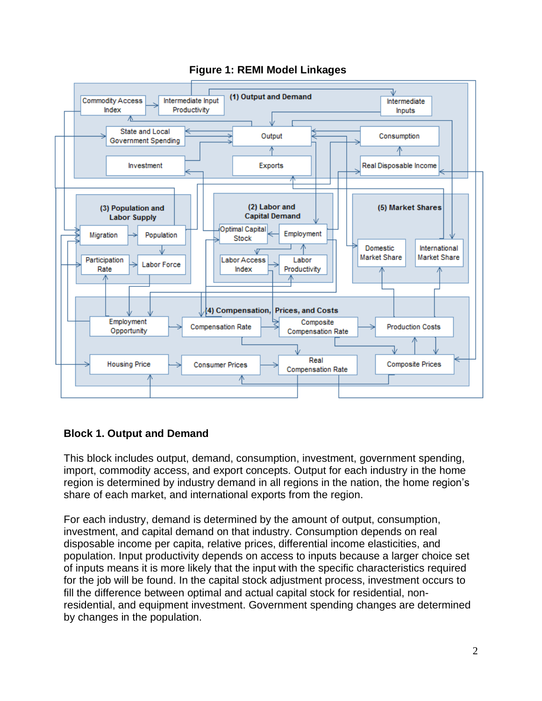

## **Figure 1: REMI Model Linkages**

## **Block 1. Output and Demand**

This block includes output, demand, [consumption,](http://www.remi.com/resources/technical) investment, government spending, import, commodity access, and export concepts. Output for each industry in the home region is determined by industry demand in all regions in the nation, the home region's share of each market, and international exports from the region.

For each industry, demand is determined by the amount of output, consumption, investment, and capital demand on that industry. Consumption depends on real disposable income per capita, relative prices, differential income elasticities, and population. Input productivity depends on access to inputs because a larger choice set of inputs means it is more likely that the input with the specific characteristics required for the job will be found. In the capital stock adjustment process, investment occurs to fill the difference between optimal and actual [capital](http://www.remi.com/resources/technical) stock for [residential,](http://www.remi.com/resources/technical) [non](http://www.remi.com/resources/technical)[residential,](http://www.remi.com/resources/technical) and equipment investment. Government spending changes are determined by changes in the population.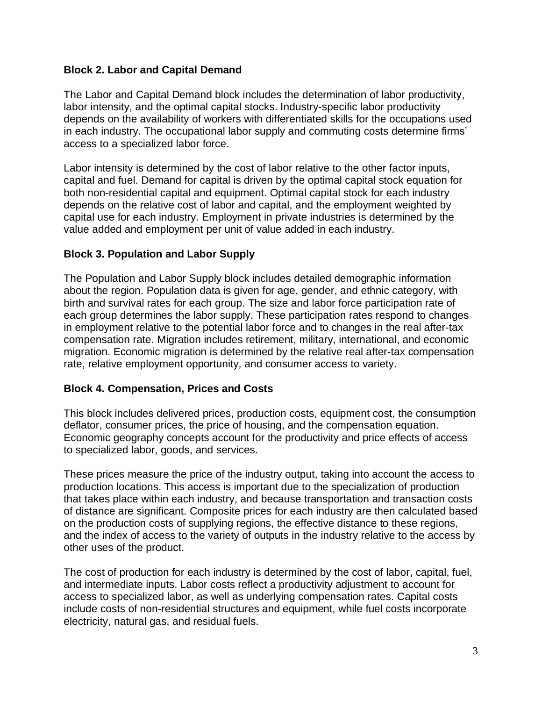### **Block 2. Labor and Capital Demand**

The Labor and Capital Demand block includes the determination of labor [productivity,](http://www.remi.com/resources/technical) labor [intensity,](http://www.remi.com/resources/technical) and the [optimal](http://www.remi.com/resources/technical) capital stocks. Industry-specific labor productivity depends on the availability of workers with differentiated skills for the occupations used in each industry. The occupational labor supply and commuting costs determine firms' access to a specialized labor [force.](http://www.remi.com/resources/technical)

Labor intensity is determined by the cost of labor relative to the other factor inputs, capital and fuel. Demand for capital is driven by the optimal capital stock equation for both non-residential capital and equipment. Optimal capital stock for each industry depends on the relative cost of labor and capital, and the [employment](http://www.remi.com/resources/technical) weighted by capital use for each industry. Employment in private industries is determined by the value [added](http://www.remi.com/resources/technical) and employment per unit of value added in each industry.

#### **Block 3. Population and Labor Supply**

The Population and Labor Supply block includes detailed demographic information about the region. Population data is given for age, gender, and ethnic category, with birth and survival rates for each group. The size and labor force participation rate of each group determines the labor supply. These participation rates respond to changes in employment relative to the potential labor force and to changes in the real after-tax compensation rate. [Migration](http://www.remi.com/resources/technical) includes retirement, military, international, and [economic](http://www.remi.com/resources/technical) [migration.](http://www.remi.com/resources/technical) Economic migration is determined by the relative real after-tax compensation rate, relative employment opportunity, and consumer access to variety.

#### **Block 4. Compensation, Prices and Costs**

This block includes [delivered](http://www.remi.com/resources/technical) prices, [production](http://www.remi.com/resources/technical) costs, equipment cost, the consumption deflator, consumer prices, the price of housing, and the compensation equation. Economic geography concepts account for the productivity and price effects of access to specialized labor, goods, and services.

These prices measure the price of the industry output, taking into account the access to production locations. This access is important due to the specialization of production that takes place within each industry, and because [transportation](http://www.remi.com/resources/technical) and transaction costs of distance are significant. [Composite](http://www.remi.com/resources/technical) prices for each industry are then calculated based on the production costs of supplying regions, the effective distance to these regions, and the index of access to the variety of outputs in the industry relative to the access by other uses of the product.

The cost of production for each industry is determined by the cost of labor, capital, fuel, and [intermediate](http://www.remi.com/resources/technical) inputs. Labor costs reflect a productivity adjustment to account for access to specialized labor, as well as underlying compensation rates. [Capital](http://www.remi.com/resources/technical) costs include costs of non-residential structures and equipment, while fuel [costs](http://www.remi.com/resources/technical) incorporate electricity, natural gas, and residual fuels.